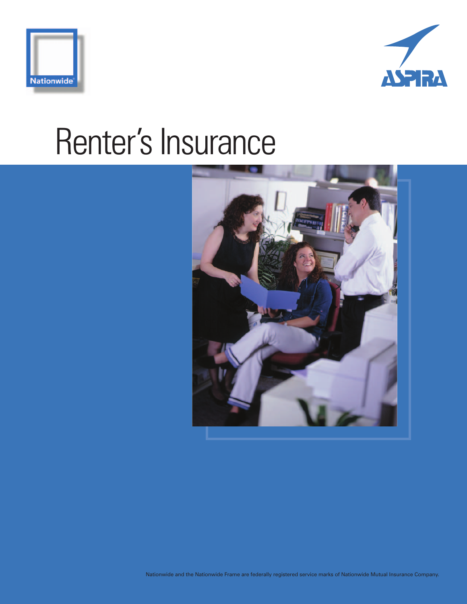



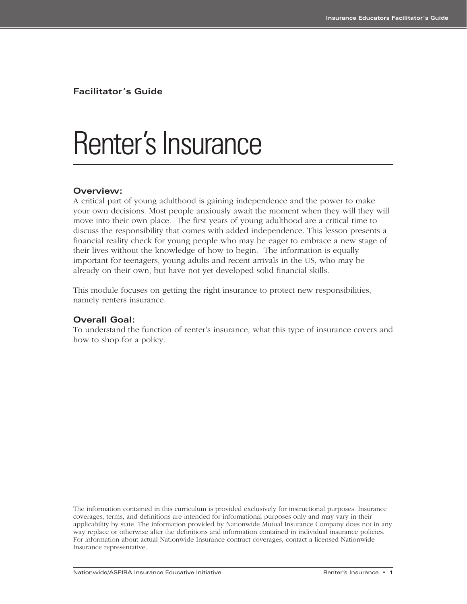**Facilitator's Guide**

## Renter's Insurance

#### **Overview:**

A critical part of young adulthood is gaining independence and the power to make your own decisions. Most people anxiously await the moment when they will they will move into their own place. The first years of young adulthood are a critical time to discuss the responsibility that comes with added independence. This lesson presents a financial reality check for young people who may be eager to embrace a new stage of their lives without the knowledge of how to begin. The information is equally important for teenagers, young adults and recent arrivals in the US, who may be already on their own, but have not yet developed solid financial skills.

This module focuses on getting the right insurance to protect new responsibilities, namely renters insurance.

#### **Overall Goal:**

To understand the function of renter's insurance, what this type of insurance covers and how to shop for a policy.

The information contained in this curriculum is provided exclusively for instructional purposes. Insurance coverages, terms, and definitions are intended for informational purposes only and may vary in their applicability by state. The information provided by Nationwide Mutual Insurance Company does not in any way replace or otherwise alter the definitions and information contained in individual insurance policies. For information about actual Nationwide Insurance contract coverages, contact a licensed Nationwide Insurance representative.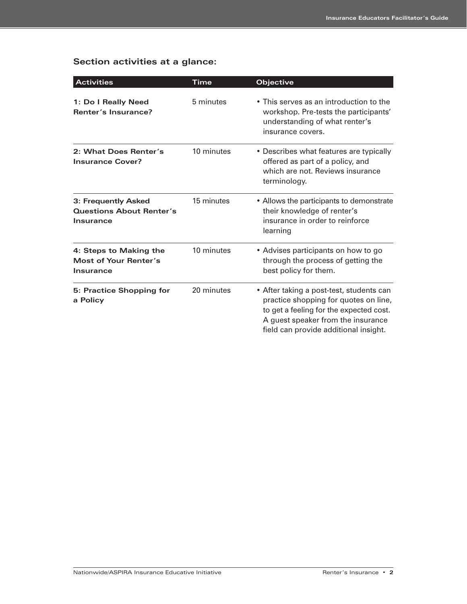## **Section activities at a glance:**

| <b>Activities</b>                                                                        | Time       | <b>Objective</b>                                                                                                                                                                                            |  |  |  |
|------------------------------------------------------------------------------------------|------------|-------------------------------------------------------------------------------------------------------------------------------------------------------------------------------------------------------------|--|--|--|
| 1: Do I Really Need<br>Renter's Insurance?                                               | 5 minutes  | • This serves as an introduction to the<br>workshop. Pre-tests the participants'<br>understanding of what renter's<br>insurance covers.                                                                     |  |  |  |
| 2: What Does Renter's<br><b>Insurance Cover?</b>                                         | 10 minutes | • Describes what features are typically<br>offered as part of a policy, and<br>which are not. Reviews insurance<br>terminology.                                                                             |  |  |  |
| 15 minutes<br>3: Frequently Asked<br><b>Questions About Renter's</b><br><b>Insurance</b> |            | • Allows the participants to demonstrate<br>their knowledge of renter's<br>insurance in order to reinforce<br>learning                                                                                      |  |  |  |
| 4: Steps to Making the<br>Most of Your Renter's<br><b>Insurance</b>                      | 10 minutes | • Advises participants on how to go<br>through the process of getting the<br>best policy for them.                                                                                                          |  |  |  |
| 5: Practice Shopping for<br>a Policy                                                     | 20 minutes | • After taking a post-test, students can<br>practice shopping for quotes on line,<br>to get a feeling for the expected cost.<br>A guest speaker from the insurance<br>field can provide additional insight. |  |  |  |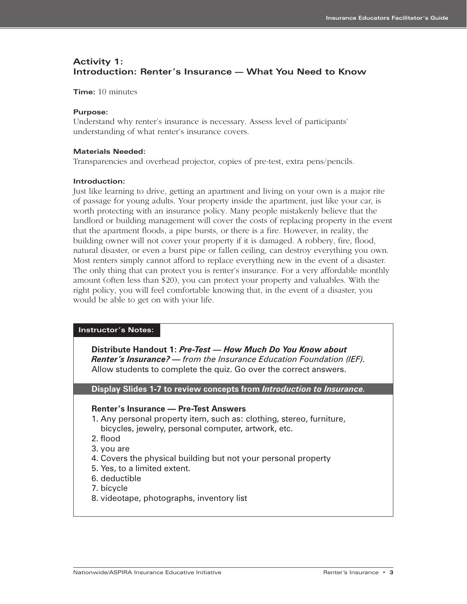### **Activity 1: Introduction: Renter's Insurance — What You Need to Know**

**Time:** 10 minutes

#### **Purpose:**

Understand why renter's insurance is necessary. Assess level of participants' understanding of what renter's insurance covers.

#### **Materials Needed:**

Transparencies and overhead projector, copies of pre-test, extra pens/pencils.

#### **Introduction:**

Just like learning to drive, getting an apartment and living on your own is a major rite of passage for young adults. Your property inside the apartment, just like your car, is worth protecting with an insurance policy. Many people mistakenly believe that the landlord or building management will cover the costs of replacing property in the event that the apartment floods, a pipe bursts, or there is a fire. However, in reality, the building owner will not cover your property if it is damaged. A robbery, fire, flood, natural disaster, or even a burst pipe or fallen ceiling, can destroy everything you own. Most renters simply cannot afford to replace everything new in the event of a disaster. The only thing that can protect you is renter's insurance. For a very affordable monthly amount (often less than \$20), you can protect your property and valuables. With the right policy, you will feel comfortable knowing that, in the event of a disaster, you would be able to get on with your life.

#### **Instructor's Notes:**

**Distribute Handout 1:** *Pre-Test — How Much Do You Know about Renter's Insurance? — from the Insurance Education Foundation (IEF).*  Allow students to complete the quiz. Go over the correct answers.

**Display Slides 1-7 to review concepts from** *Introduction to Insurance.*

#### **Renter's Insurance — Pre-Test Answers**

- 1. Any personal property item, such as: clothing, stereo, furniture, bicycles, jewelry, personal computer, artwork, etc.
- 2. flood
- 3. you are
- 4. Covers the physical building but not your personal property
- 5. Yes, to a limited extent.
- 6. deductible
- 7. bicycle
- 8. videotape, photographs, inventory list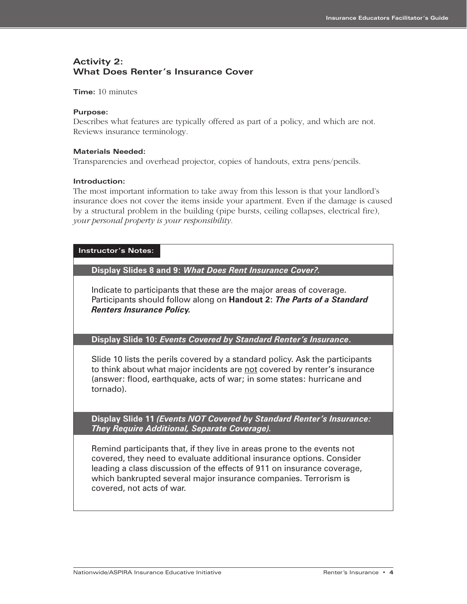### **Activity 2: What Does Renter's Insurance Cover**

**Time:** 10 minutes

#### **Purpose:**

Describes what features are typically offered as part of a policy, and which are not. Reviews insurance terminology.

#### **Materials Needed:**

Transparencies and overhead projector, copies of handouts, extra pens/pencils.

#### **Introduction:**

The most important information to take away from this lesson is that your landlord's insurance does not cover the items inside your apartment. Even if the damage is caused by a structural problem in the building (pipe bursts, ceiling collapses, electrical fire), *your personal property is your responsibility.*

#### **Instructor's Notes:**

**Display Slides 8 and 9:** *What Does Rent Insurance Cover?.* 

Indicate to participants that these are the major areas of coverage. Participants should follow along on **Handout 2:** *The Parts of a Standard Renters Insurance Policy.* 

**Display Slide 10:** *Events Covered by Standard Renter's Insurance***.**

Slide 10 lists the perils covered by a standard policy. Ask the participants to think about what major incidents are not covered by renter's insurance (answer: flood, earthquake, acts of war; in some states: hurricane and tornado).

**Display Slide 11** *(Events NOT Covered by Standard Renter's Insurance: They Require Additional, Separate Coverage).*

Remind participants that, if they live in areas prone to the events not covered, they need to evaluate additional insurance options. Consider leading a class discussion of the effects of 911 on insurance coverage, which bankrupted several major insurance companies. Terrorism is covered, not acts of war.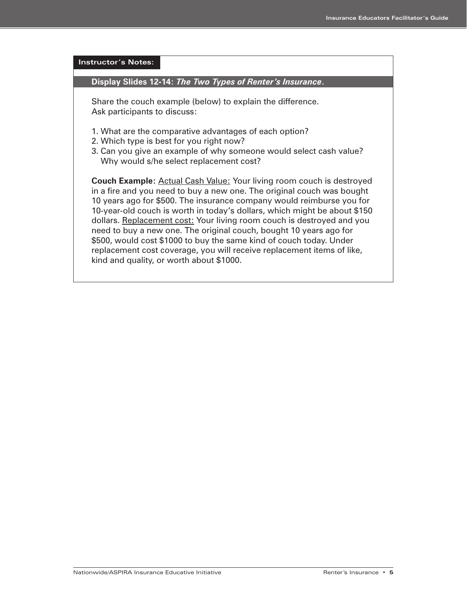## **Instructor's Notes: Display Slides 12-14:** *The Two Types of Renter's Insurance***.**  Share the couch example (below) to explain the difference. Ask participants to discuss: 1. What are the comparative advantages of each option? 2. Which type is best for you right now? 3. Can you give an example of why someone would select cash value? Why would s/he select replacement cost? **Couch Example:** Actual Cash Value: Your living room couch is destroyed in a fire and you need to buy a new one. The original couch was bought 10 years ago for \$500. The insurance company would reimburse you for 10-year-old couch is worth in today's dollars, which might be about \$150 dollars. Replacement cost: Your living room couch is destroyed and you need to buy a new one. The original couch, bought 10 years ago for \$500, would cost \$1000 to buy the same kind of couch today. Under replacement cost coverage, you will receive replacement items of like, kind and quality, or worth about \$1000.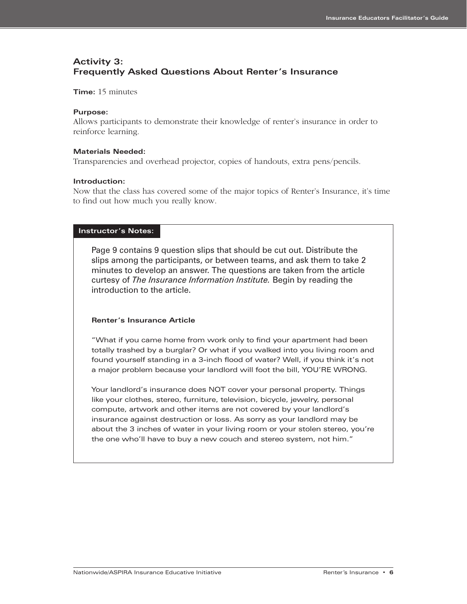### **Activity 3: Frequently Asked Questions About Renter's Insurance**

**Time:** 15 minutes

#### **Purpose:**

Allows participants to demonstrate their knowledge of renter's insurance in order to reinforce learning.

#### **Materials Needed:**

Transparencies and overhead projector, copies of handouts, extra pens/pencils.

#### **Introduction:**

Now that the class has covered some of the major topics of Renter's Insurance, it's time to find out how much you really know.

#### **Instructor's Notes:**

Page 9 contains 9 question slips that should be cut out. Distribute the slips among the participants, or between teams, and ask them to take 2 minutes to develop an answer. The questions are taken from the article curtesy of *The Insurance Information Institute.* Begin by reading the introduction to the article.

#### **Renter's Insurance Article**

"What if you came home from work only to find your apartment had been totally trashed by a burglar? Or what if you walked into you living room and found yourself standing in a 3-inch flood of water? Well, if you think it's not a major problem because your landlord will foot the bill, YOU'RE WRONG.

Your landlord's insurance does NOT cover your personal property. Things like your clothes, stereo, furniture, television, bicycle, jewelry, personal compute, artwork and other items are not covered by your landlord's insurance against destruction or loss. As sorry as your landlord may be about the 3 inches of water in your living room or your stolen stereo, you're the one who'll have to buy a new couch and stereo system, not him."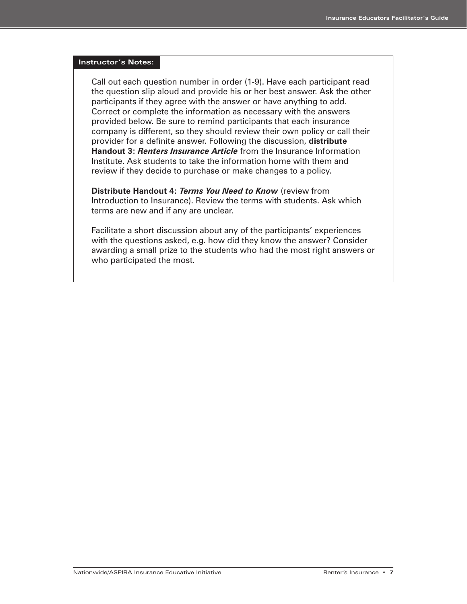#### **Instructor's Notes:**

Call out each question number in order (1-9). Have each participant read the question slip aloud and provide his or her best answer. Ask the other participants if they agree with the answer or have anything to add. Correct or complete the information as necessary with the answers provided below. Be sure to remind participants that each insurance company is different, so they should review their own policy or call their provider for a definite answer. Following the discussion, **distribute Handout 3:** *Renters Insurance Article* from the Insurance Information Institute. Ask students to take the information home with them and review if they decide to purchase or make changes to a policy.

**Distribute Handout 4:** *Terms You Need to Know* (review from Introduction to Insurance). Review the terms with students. Ask which terms are new and if any are unclear.

Facilitate a short discussion about any of the participants' experiences with the questions asked, e.g. how did they know the answer? Consider awarding a small prize to the students who had the most right answers or who participated the most.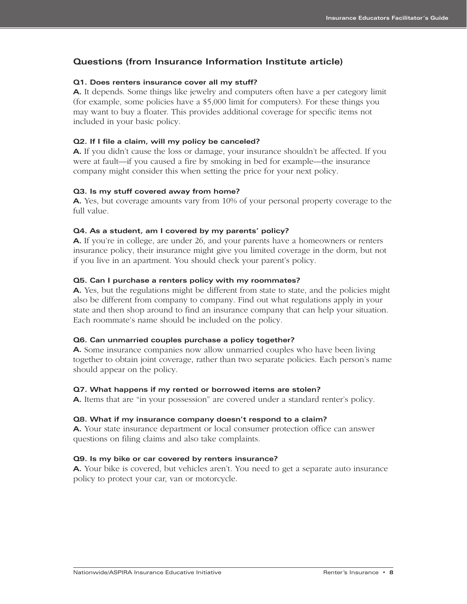#### **Questions (from Insurance Information Institute article)**

#### **Q1. Does renters insurance cover all my stuff?**

**A.** It depends. Some things like jewelry and computers often have a per category limit (for example, some policies have a \$5,000 limit for computers). For these things you may want to buy a floater. This provides additional coverage for specific items not included in your basic policy.

#### **Q2. If I file a claim, will my policy be canceled?**

**A.** If you didn't cause the loss or damage, your insurance shouldn't be affected. If you were at fault—if you caused a fire by smoking in bed for example—the insurance company might consider this when setting the price for your next policy.

#### **Q3. Is my stuff covered away from home?**

**A.** Yes, but coverage amounts vary from 10% of your personal property coverage to the full value.

#### **Q4. As a student, am I covered by my parents' policy?**

**A.** If you're in college, are under 26, and your parents have a homeowners or renters insurance policy, their insurance might give you limited coverage in the dorm, but not if you live in an apartment. You should check your parent's policy.

#### **Q5. Can I purchase a renters policy with my roommates?**

**A.** Yes, but the regulations might be different from state to state, and the policies might also be different from company to company. Find out what regulations apply in your state and then shop around to find an insurance company that can help your situation. Each roommate's name should be included on the policy.

#### **Q6. Can unmarried couples purchase a policy together?**

**A.** Some insurance companies now allow unmarried couples who have been living together to obtain joint coverage, rather than two separate policies. Each person's name should appear on the policy.

#### **Q7. What happens if my rented or borrowed items are stolen?**

**A.** Items that are "in your possession" are covered under a standard renter's policy.

#### **Q8. What if my insurance company doesn't respond to a claim?**

**A.** Your state insurance department or local consumer protection office can answer questions on filing claims and also take complaints.

#### **Q9. Is my bike or car covered by renters insurance?**

**A.** Your bike is covered, but vehicles aren't. You need to get a separate auto insurance policy to protect your car, van or motorcycle.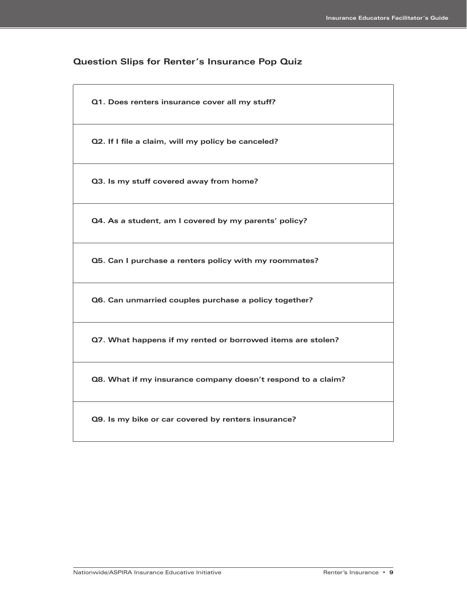#### **Question Slips for Renter's Insurance Pop Quiz**

**Q1. Does renters insurance cover all my stuff?**

**Q2. If I file a claim, will my policy be canceled?**

**Q3. Is my stuff covered away from home?**

**Q4. As a student, am I covered by my parents' policy?**

**Q5. Can I purchase a renters policy with my roommates?**

**Q6. Can unmarried couples purchase a policy together?**

**Q7. What happens if my rented or borrowed items are stolen?**

**Q8. What if my insurance company doesn't respond to a claim?**

**Q9. Is my bike or car covered by renters insurance?**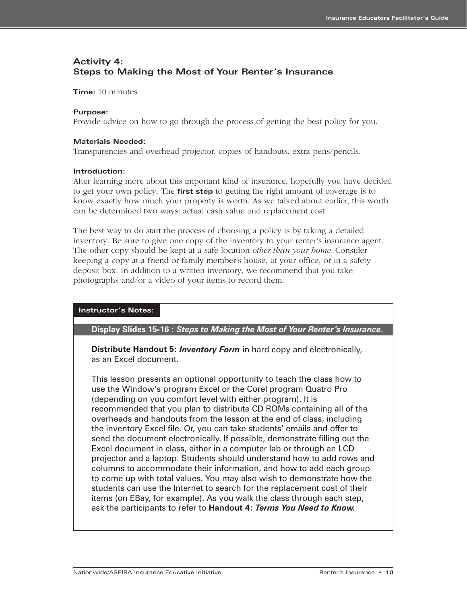### **Activity 4: Steps to Making the Most of Your Renter's Insurance**

**Time:** 10 minutes

#### **Purpose:**

Provide advice on how to go through the process of getting the best policy for you.

#### **Materials Needed:**

Transparencies and overhead projector, copies of handouts, extra pens/pencils.

#### **Introduction:**

After learning more about this important kind of insurance, hopefully you have decided to get your own policy. The **first step** to getting the right amount of coverage is to know exactly how much your property is worth. As we talked about earlier, this worth can be determined two ways: actual cash value and replacement cost.

The best way to do start the process of choosing a policy is by taking a detailed inventory. Be sure to give one copy of the inventory to your renter's insurance agent. The other copy should be kept at a safe location *other than your home.* Consider keeping a copy at a friend or family member's house, at your office, or in a safety deposit box. In addition to a written inventory, we recommend that you take photographs and/or a video of your items to record them.

#### **Instructor's Notes:**

**Display Slides 15-16 :** *Steps to Making the Most of Your Renter's Insurance***.** 

**Distribute Handout 5:** *Inventory Form* in hard copy and electronically, as an Excel document.

This lesson presents an optional opportunity to teach the class how to use the Window's program Excel or the Corel program Quatro Pro (depending on you comfort level with either program). It is recommended that you plan to distribute CD ROMs containing all of the overheads and handouts from the lesson at the end of class, including the inventory Excel file. Or, you can take students' emails and offer to send the document electronically. If possible, demonstrate filling out the Excel document in class, either in a computer lab or through an LCD projector and a laptop. Students should understand how to add rows and columns to accommodate their information, and how to add each group to come up with total values. You may also wish to demonstrate how the students can use the Internet to search for the replacement cost of their items (on EBay, for example). As you walk the class through each step, ask the participants to refer to **Handout 4:** *Terms You Need to Know.*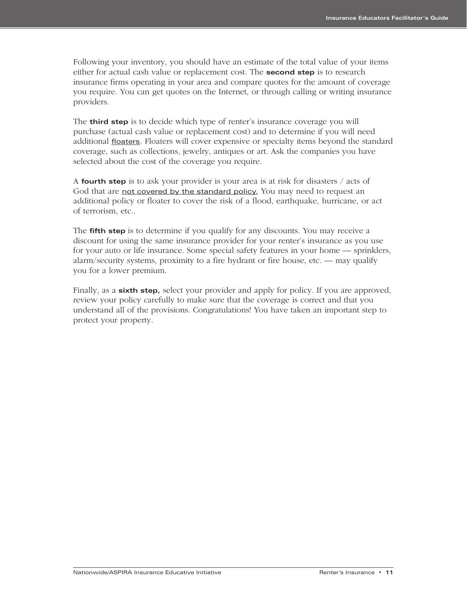Following your inventory, you should have an estimate of the total value of your items either for actual cash value or replacement cost. The **second step** is to research insurance firms operating in your area and compare quotes for the amount of coverage you require. You can get quotes on the Internet, or through calling or writing insurance providers.

The **third step** is to decide which type of renter's insurance coverage you will purchase (actual cash value or replacement cost) and to determine if you will need additional floaters. Floaters will cover expensive or specialty items beyond the standard coverage, such as collections, jewelry, antiques or art. Ask the companies you have selected about the cost of the coverage you require.

A **fourth step** is to ask your provider is your area is at risk for disasters / acts of God that are not covered by the standard policy. You may need to request an additional policy or floater to cover the risk of a flood, earthquake, hurricane, or act of terrorism, etc..

The **fifth step** is to determine if you qualify for any discounts. You may receive a discount for using the same insurance provider for your renter's insurance as you use for your auto or life insurance. Some special safety features in your home — sprinklers, alarm/security systems, proximity to a fire hydrant or fire house, etc. — may qualify you for a lower premium.

Finally, as a **sixth step,** select your provider and apply for policy. If you are approved, review your policy carefully to make sure that the coverage is correct and that you understand all of the provisions. Congratulations! You have taken an important step to protect your property.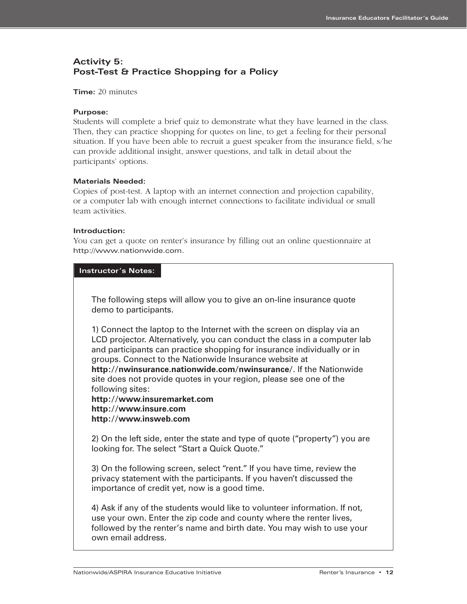### **Activity 5: Post-Test & Practice Shopping for a Policy**

#### **Time:** 20 minutes

#### **Purpose:**

Students will complete a brief quiz to demonstrate what they have learned in the class. Then, they can practice shopping for quotes on line, to get a feeling for their personal situation. If you have been able to recruit a guest speaker from the insurance field, s/he can provide additional insight, answer questions, and talk in detail about the participants' options.

#### **Materials Needed:**

Copies of post-test. A laptop with an internet connection and projection capability, or a computer lab with enough internet connections to facilitate individual or small team activities.

#### **Introduction:**

You can get a quote on renter's insurance by filling out an online questionnaire at http://www.nationwide.com.

#### **Instructor's Notes:**

The following steps will allow you to give an on-line insurance quote demo to participants.

1) Connect the laptop to the Internet with the screen on display via an LCD projector. Alternatively, you can conduct the class in a computer lab and participants can practice shopping for insurance individually or in groups. Connect to the Nationwide Insurance website at **http://nwinsurance.nationwide.com/nwinsurance/**. If the Nationwide

site does not provide quotes in your region, please see one of the following sites:

**http://www.insuremarket.com http://www.insure.com http://www.insweb.com**

2) On the left side, enter the state and type of quote ("property") you are looking for. The select "Start a Quick Quote."

3) On the following screen, select "rent." If you have time, review the privacy statement with the participants. If you haven't discussed the importance of credit yet, now is a good time.

4) Ask if any of the students would like to volunteer information. If not, use your own. Enter the zip code and county where the renter lives, followed by the renter's name and birth date. You may wish to use your own email address.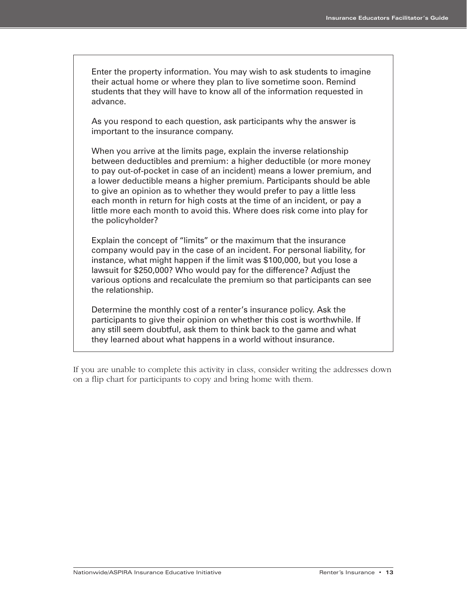Enter the property information. You may wish to ask students to imagine their actual home or where they plan to live sometime soon. Remind students that they will have to know all of the information requested in advance.

As you respond to each question, ask participants why the answer is important to the insurance company.

When you arrive at the limits page, explain the inverse relationship between deductibles and premium: a higher deductible (or more money to pay out-of-pocket in case of an incident) means a lower premium, and a lower deductible means a higher premium. Participants should be able to give an opinion as to whether they would prefer to pay a little less each month in return for high costs at the time of an incident, or pay a little more each month to avoid this. Where does risk come into play for the policyholder?

Explain the concept of "limits" or the maximum that the insurance company would pay in the case of an incident. For personal liability, for instance, what might happen if the limit was \$100,000, but you lose a lawsuit for \$250,000? Who would pay for the difference? Adjust the various options and recalculate the premium so that participants can see the relationship.

Determine the monthly cost of a renter's insurance policy. Ask the participants to give their opinion on whether this cost is worthwhile. If any still seem doubtful, ask them to think back to the game and what they learned about what happens in a world without insurance.

If you are unable to complete this activity in class, consider writing the addresses down on a flip chart for participants to copy and bring home with them.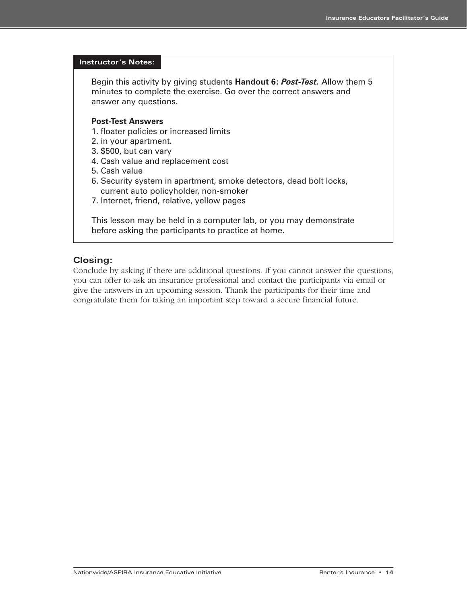#### **Instructor's Notes:**

Begin this activity by giving students **Handout 6:** *Post-Test.* Allow them 5 minutes to complete the exercise. Go over the correct answers and answer any questions.

#### **Post-Test Answers**

- 1. floater policies or increased limits
- 2. in your apartment.
- 3. \$500, but can vary
- 4. Cash value and replacement cost
- 5. Cash value
- 6. Security system in apartment, smoke detectors, dead bolt locks, current auto policyholder, non-smoker
- 7. Internet, friend, relative, yellow pages

This lesson may be held in a computer lab, or you may demonstrate before asking the participants to practice at home.

#### **Closing:**

Conclude by asking if there are additional questions. If you cannot answer the questions, you can offer to ask an insurance professional and contact the participants via email or give the answers in an upcoming session. Thank the participants for their time and congratulate them for taking an important step toward a secure financial future.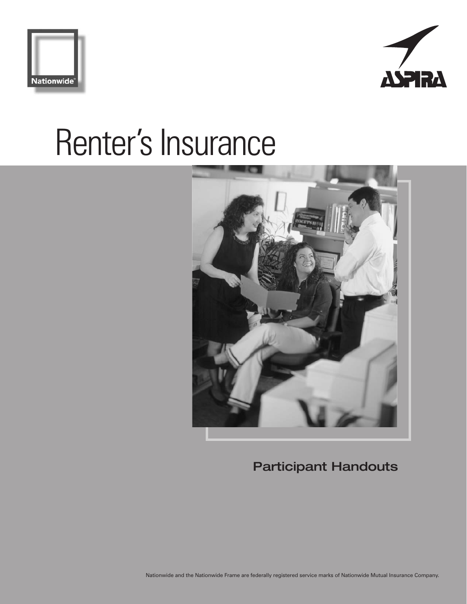





**Participant Handouts**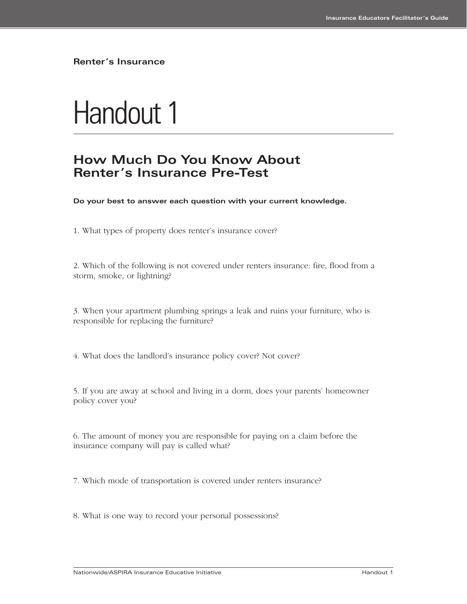# Handout 1

## **How Much Do You Know About Renter's Insurance Pre-Test**

**Do your best to answer each question with your current knowledge.**

1. What types of property does renter's insurance cover?

2. Which of the following is not covered under renters insurance: fire, flood from a storm, smoke, or lightning?

3. When your apartment plumbing springs a leak and ruins your furniture, who is responsible for replacing the furniture?

4. What does the landlord's insurance policy cover? Not cover?

5. If you are away at school and living in a dorm, does your parents' homeowner policy cover you?

6. The amount of money you are responsible for paying on a claim before the insurance company will pay is called what?

7. Which mode of transportation is covered under renters insurance?

8. What is one way to record your personal possessions?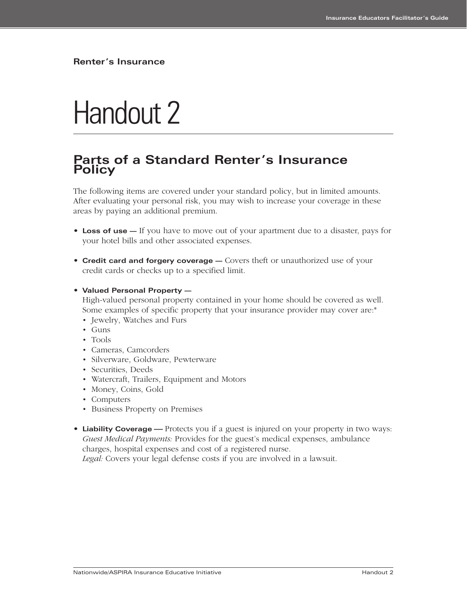# Handout 2

## **Parts of a Standard Renter's Insurance Policy**

The following items are covered under your standard policy, but in limited amounts. After evaluating your personal risk, you may wish to increase your coverage in these areas by paying an additional premium.

- **Loss of use** If you have to move out of your apartment due to a disaster, pays for your hotel bills and other associated expenses.
- **Credit card and forgery coverage** Covers theft or unauthorized use of your credit cards or checks up to a specified limit.
- **Valued Personal Property —**

High-valued personal property contained in your home should be covered as well. Some examples of specific property that your insurance provider may cover are:\*

- Jewelry, Watches and Furs
- Guns
- Tools
- Cameras, Camcorders
- Silverware, Goldware, Pewterware
- Securities, Deeds
- Watercraft, Trailers, Equipment and Motors
- Money, Coins, Gold
- Computers
- Business Property on Premises
- **Liability Coverage** Protects you if a guest is injured on your property in two ways: *Guest Medical Payments:* Provides for the guest's medical expenses, ambulance charges, hospital expenses and cost of a registered nurse.

*Legal:* Covers your legal defense costs if you are involved in a lawsuit.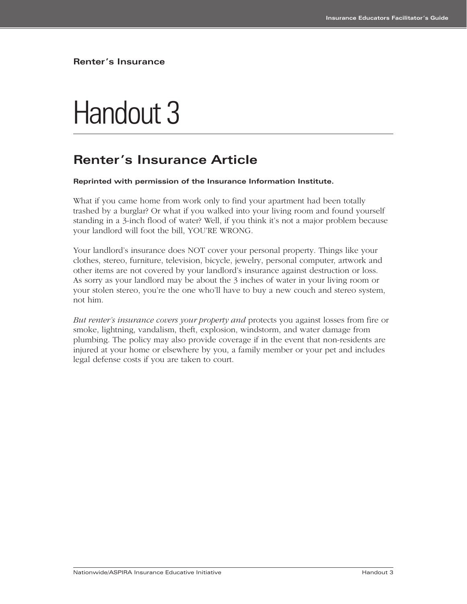# Handout 3

## **Renter's Insurance Article**

#### **Reprinted with permission of the Insurance Information Institute.**

What if you came home from work only to find your apartment had been totally trashed by a burglar? Or what if you walked into your living room and found yourself standing in a 3-inch flood of water? Well, if you think it's not a major problem because your landlord will foot the bill, YOU'RE WRONG.

Your landlord's insurance does NOT cover your personal property. Things like your clothes, stereo, furniture, television, bicycle, jewelry, personal computer, artwork and other items are not covered by your landlord's insurance against destruction or loss. As sorry as your landlord may be about the 3 inches of water in your living room or your stolen stereo, you're the one who'll have to buy a new couch and stereo system, not him.

*But renter's insurance covers your property and* protects you against losses from fire or smoke, lightning, vandalism, theft, explosion, windstorm, and water damage from plumbing. The policy may also provide coverage if in the event that non-residents are injured at your home or elsewhere by you, a family member or your pet and includes legal defense costs if you are taken to court.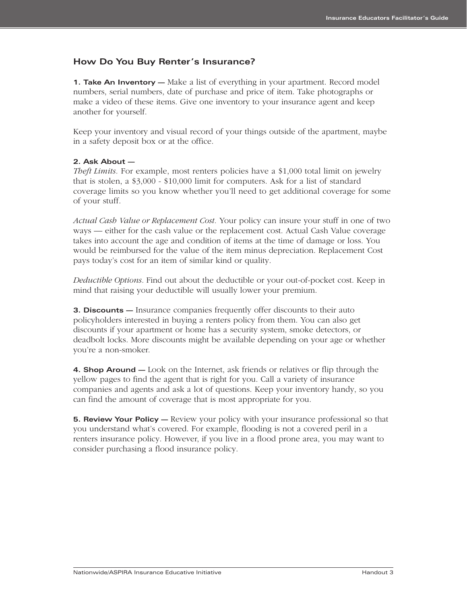#### **How Do You Buy Renter's Insurance?**

**1. Take An Inventory —** Make a list of everything in your apartment. Record model numbers, serial numbers, date of purchase and price of item. Take photographs or make a video of these items. Give one inventory to your insurance agent and keep another for yourself.

Keep your inventory and visual record of your things outside of the apartment, maybe in a safety deposit box or at the office.

#### **2. Ask About —**

*Theft Limits.* For example, most renters policies have a \$1,000 total limit on jewelry that is stolen, a \$3,000 - \$10,000 limit for computers. Ask for a list of standard coverage limits so you know whether you'll need to get additional coverage for some of your stuff.

*Actual Cash Value or Replacement Cost.* Your policy can insure your stuff in one of two ways — either for the cash value or the replacement cost. Actual Cash Value coverage takes into account the age and condition of items at the time of damage or loss. You would be reimbursed for the value of the item minus depreciation. Replacement Cost pays today's cost for an item of similar kind or quality.

*Deductible Options.* Find out about the deductible or your out-of-pocket cost. Keep in mind that raising your deductible will usually lower your premium.

**3. Discounts —** Insurance companies frequently offer discounts to their auto policyholders interested in buying a renters policy from them. You can also get discounts if your apartment or home has a security system, smoke detectors, or deadbolt locks. More discounts might be available depending on your age or whether you're a non-smoker.

**4. Shop Around —** Look on the Internet, ask friends or relatives or flip through the yellow pages to find the agent that is right for you. Call a variety of insurance companies and agents and ask a lot of questions. Keep your inventory handy, so you can find the amount of coverage that is most appropriate for you.

**5. Review Your Policy —** Review your policy with your insurance professional so that you understand what's covered. For example, flooding is not a covered peril in a renters insurance policy. However, if you live in a flood prone area, you may want to consider purchasing a flood insurance policy.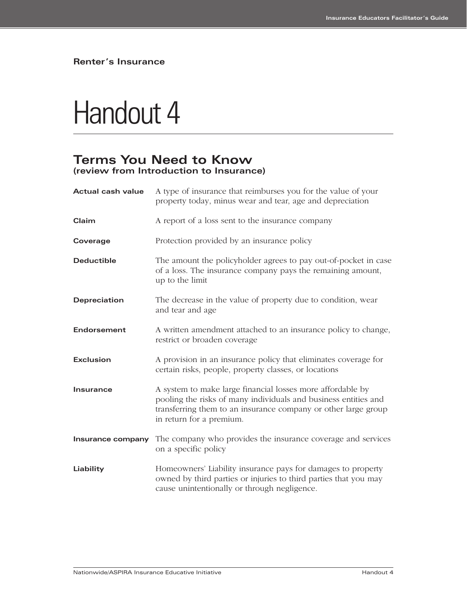## Handout 4

## **Terms You Need to Know (review from Introduction to Insurance)**

| <b>Actual cash value</b> | A type of insurance that reimburses you for the value of your<br>property today, minus wear and tear, age and depreciation                                                                                                  |
|--------------------------|-----------------------------------------------------------------------------------------------------------------------------------------------------------------------------------------------------------------------------|
| Claim                    | A report of a loss sent to the insurance company                                                                                                                                                                            |
| Coverage                 | Protection provided by an insurance policy                                                                                                                                                                                  |
| <b>Deductible</b>        | The amount the policyholder agrees to pay out-of-pocket in case<br>of a loss. The insurance company pays the remaining amount,<br>up to the limit                                                                           |
| <b>Depreciation</b>      | The decrease in the value of property due to condition, wear<br>and tear and age                                                                                                                                            |
| <b>Endorsement</b>       | A written amendment attached to an insurance policy to change,<br>restrict or broaden coverage                                                                                                                              |
| <b>Exclusion</b>         | A provision in an insurance policy that eliminates coverage for<br>certain risks, people, property classes, or locations                                                                                                    |
| <b>Insurance</b>         | A system to make large financial losses more affordable by<br>pooling the risks of many individuals and business entities and<br>transferring them to an insurance company or other large group<br>in return for a premium. |
| Insurance company        | The company who provides the insurance coverage and services<br>on a specific policy                                                                                                                                        |
| Liability                | Homeowners' Liability insurance pays for damages to property<br>owned by third parties or injuries to third parties that you may<br>cause unintentionally or through negligence.                                            |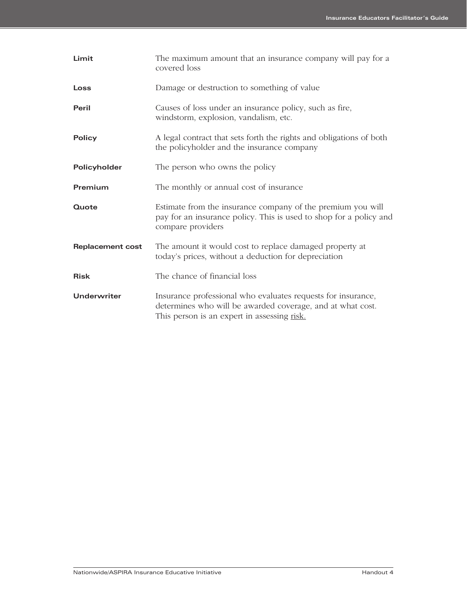| Limit                   | The maximum amount that an insurance company will pay for a<br>covered loss                                                                                               |
|-------------------------|---------------------------------------------------------------------------------------------------------------------------------------------------------------------------|
| Loss                    | Damage or destruction to something of value                                                                                                                               |
| Peril                   | Causes of loss under an insurance policy, such as fire,<br>windstorm, explosion, vandalism, etc.                                                                          |
| <b>Policy</b>           | A legal contract that sets forth the rights and obligations of both<br>the policyholder and the insurance company                                                         |
| Policyholder            | The person who owns the policy                                                                                                                                            |
| Premium                 | The monthly or annual cost of insurance                                                                                                                                   |
| Quote                   | Estimate from the insurance company of the premium you will<br>pay for an insurance policy. This is used to shop for a policy and<br>compare providers                    |
| <b>Replacement cost</b> | The amount it would cost to replace damaged property at<br>today's prices, without a deduction for depreciation                                                           |
| <b>Risk</b>             | The chance of financial loss                                                                                                                                              |
| Underwriter             | Insurance professional who evaluates requests for insurance,<br>determines who will be awarded coverage, and at what cost.<br>This person is an expert in assessing risk. |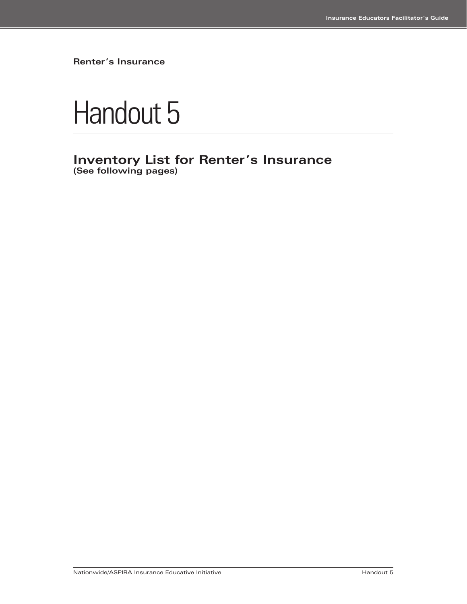

## **Inventory List for Renter's Insurance (See following pages)**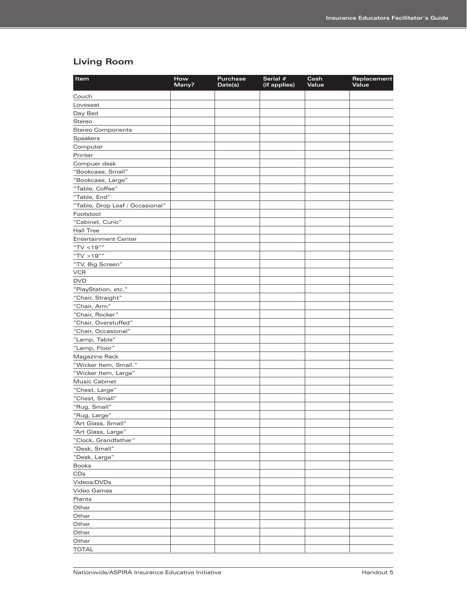## **Living Room**

| Item                            | How<br>Many? | <b>Purchase</b><br>Date(s) | Serial #<br>(if applies) | Cash<br>Value | Replacement<br>Value |
|---------------------------------|--------------|----------------------------|--------------------------|---------------|----------------------|
| Couch                           |              |                            |                          |               |                      |
| Loveseat                        |              |                            |                          |               |                      |
| Day Bed                         |              |                            |                          |               |                      |
| Stereo                          |              |                            |                          |               |                      |
| <b>Stereo Components</b>        |              |                            |                          |               |                      |
| <b>Speakers</b>                 |              |                            |                          |               |                      |
| Computer                        |              |                            |                          |               |                      |
| Printer                         |              |                            |                          |               |                      |
| Compuer desk                    |              |                            |                          |               |                      |
| "Bookcase, Small"               |              |                            |                          |               |                      |
| "Bookcase, Large"               |              |                            |                          |               |                      |
| "Table, Coffee"                 |              |                            |                          |               |                      |
| "Table, End"                    |              |                            |                          |               |                      |
| "Table, Drop Leaf / Occasional" |              |                            |                          |               |                      |
| Footstool                       |              |                            |                          |               |                      |
| "Cabinet, Curio"                |              |                            |                          |               |                      |
| <b>Hall Tree</b>                |              |                            |                          |               |                      |
| <b>Entertainment Center</b>     |              |                            |                          |               |                      |
| "TV <19""                       |              |                            |                          |               |                      |
| "TV > 19""                      |              |                            |                          |               |                      |
| "TV, Big Screen"                |              |                            |                          |               |                      |
| <b>VCR</b>                      |              |                            |                          |               |                      |
| <b>DVD</b>                      |              |                            |                          |               |                      |
| "PlayStation, etc."             |              |                            |                          |               |                      |
| "Chair, Straight"               |              |                            |                          |               |                      |
| "Chair, Arm"                    |              |                            |                          |               |                      |
| "Chair, Rocker"                 |              |                            |                          |               |                      |
| "Chair, Overstuffed"            |              |                            |                          |               |                      |
| "Chair, Occasional"             |              |                            |                          |               |                      |
| "Lamp, Table"                   |              |                            |                          |               |                      |
| "Lamp, Floor"                   |              |                            |                          |               |                      |
| Magazine Rack                   |              |                            |                          |               |                      |
| "Wicker Item, Small."           |              |                            |                          |               |                      |
| "Wicker Item, Large"            |              |                            |                          |               |                      |
| Music Cabinet                   |              |                            |                          |               |                      |
| "Chest, Large"                  |              |                            |                          |               |                      |
| "Chest, Small"                  |              |                            |                          |               |                      |
| "Rug, Small"                    |              |                            |                          |               |                      |
| "Rug, Large"                    |              |                            |                          |               |                      |
| "Art Glass, Small"              |              |                            |                          |               |                      |
| "Art Glass, Large"              |              |                            |                          |               |                      |
| "Clock, Grandfather"            |              |                            |                          |               |                      |
| "Desk, Small"                   |              |                            |                          |               |                      |
| "Desk, Large"                   |              |                            |                          |               |                      |
| <b>Books</b>                    |              |                            |                          |               |                      |
| CDs                             |              |                            |                          |               |                      |
| Videos/DVDs                     |              |                            |                          |               |                      |
| Video Games                     |              |                            |                          |               |                      |
| Plants                          |              |                            |                          |               |                      |
| Other                           |              |                            |                          |               |                      |
| Other                           |              |                            |                          |               |                      |
| Other                           |              |                            |                          |               |                      |
| Other                           |              |                            |                          |               |                      |
| Other                           |              |                            |                          |               |                      |
| <b>TOTAL</b>                    |              |                            |                          |               |                      |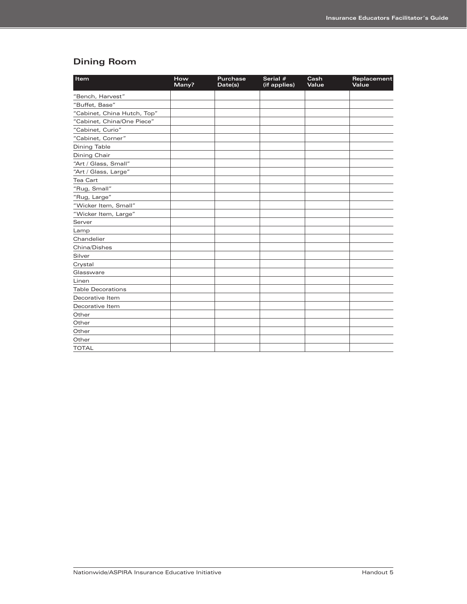## **Dining Room**

| Item                        | How<br>Many? | <b>Purchase</b><br>Date(s) | Serial #<br>(if applies) | Cash<br>Value | Replacement<br>Value |
|-----------------------------|--------------|----------------------------|--------------------------|---------------|----------------------|
| "Bench, Harvest"            |              |                            |                          |               |                      |
| "Buffet, Base"              |              |                            |                          |               |                      |
| "Cabinet, China Hutch, Top" |              |                            |                          |               |                      |
| "Cabinet, China/One Piece"  |              |                            |                          |               |                      |
| "Cabinet, Curio"            |              |                            |                          |               |                      |
| "Cabinet, Corner"           |              |                            |                          |               |                      |
| <b>Dining Table</b>         |              |                            |                          |               |                      |
| Dining Chair                |              |                            |                          |               |                      |
| "Art / Glass, Small"        |              |                            |                          |               |                      |
| "Art / Glass, Large"        |              |                            |                          |               |                      |
| <b>Tea Cart</b>             |              |                            |                          |               |                      |
| "Rug, Small"                |              |                            |                          |               |                      |
| "Rug, Large"                |              |                            |                          |               |                      |
| "Wicker Item, Small"        |              |                            |                          |               |                      |
| "Wicker Item, Large"        |              |                            |                          |               |                      |
| Server                      |              |                            |                          |               |                      |
| Lamp                        |              |                            |                          |               |                      |
| Chandelier                  |              |                            |                          |               |                      |
| China/Dishes                |              |                            |                          |               |                      |
| Silver                      |              |                            |                          |               |                      |
| Crystal                     |              |                            |                          |               |                      |
| Glassware                   |              |                            |                          |               |                      |
| Linen                       |              |                            |                          |               |                      |
| <b>Table Decorations</b>    |              |                            |                          |               |                      |
| Decorative Item             |              |                            |                          |               |                      |
| Decorative Item             |              |                            |                          |               |                      |
| Other                       |              |                            |                          |               |                      |
| Other                       |              |                            |                          |               |                      |
| Other                       |              |                            |                          |               |                      |
| Other                       |              |                            |                          |               |                      |
| <b>TOTAL</b>                |              |                            |                          |               |                      |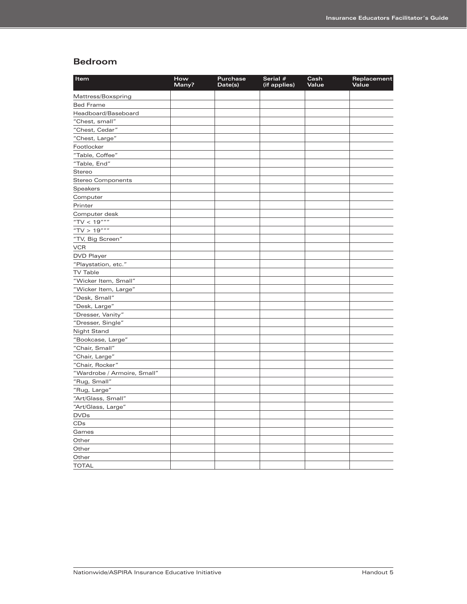#### **Bedroom**

| Mattress/Boxspring<br><b>Bed Frame</b><br>Headboard/Baseboard<br>"Chest, small"<br>"Chest, Cedar"<br>"Chest, Large"<br>Footlocker<br>"Table, Coffee"<br>"Table, End"<br>Stereo<br><b>Stereo Components</b><br>Speakers<br>Computer<br>Printer<br>Computer desk<br>"TV < $19$ """<br>"TV > $19$ """<br>"TV, Big Screen" | Item       | How<br>Many? | <b>Purchase</b><br>Date(s) | Serial #<br>(if applies) | Cash<br>Value | Replacement<br>Value |
|------------------------------------------------------------------------------------------------------------------------------------------------------------------------------------------------------------------------------------------------------------------------------------------------------------------------|------------|--------------|----------------------------|--------------------------|---------------|----------------------|
|                                                                                                                                                                                                                                                                                                                        |            |              |                            |                          |               |                      |
|                                                                                                                                                                                                                                                                                                                        |            |              |                            |                          |               |                      |
|                                                                                                                                                                                                                                                                                                                        |            |              |                            |                          |               |                      |
|                                                                                                                                                                                                                                                                                                                        |            |              |                            |                          |               |                      |
|                                                                                                                                                                                                                                                                                                                        |            |              |                            |                          |               |                      |
|                                                                                                                                                                                                                                                                                                                        |            |              |                            |                          |               |                      |
|                                                                                                                                                                                                                                                                                                                        |            |              |                            |                          |               |                      |
|                                                                                                                                                                                                                                                                                                                        |            |              |                            |                          |               |                      |
|                                                                                                                                                                                                                                                                                                                        |            |              |                            |                          |               |                      |
|                                                                                                                                                                                                                                                                                                                        |            |              |                            |                          |               |                      |
|                                                                                                                                                                                                                                                                                                                        |            |              |                            |                          |               |                      |
|                                                                                                                                                                                                                                                                                                                        |            |              |                            |                          |               |                      |
|                                                                                                                                                                                                                                                                                                                        |            |              |                            |                          |               |                      |
|                                                                                                                                                                                                                                                                                                                        |            |              |                            |                          |               |                      |
|                                                                                                                                                                                                                                                                                                                        |            |              |                            |                          |               |                      |
|                                                                                                                                                                                                                                                                                                                        |            |              |                            |                          |               |                      |
|                                                                                                                                                                                                                                                                                                                        |            |              |                            |                          |               |                      |
|                                                                                                                                                                                                                                                                                                                        |            |              |                            |                          |               |                      |
|                                                                                                                                                                                                                                                                                                                        | <b>VCR</b> |              |                            |                          |               |                      |
| <b>DVD Player</b>                                                                                                                                                                                                                                                                                                      |            |              |                            |                          |               |                      |
| "Playstation, etc."                                                                                                                                                                                                                                                                                                    |            |              |                            |                          |               |                      |
| <b>TV Table</b>                                                                                                                                                                                                                                                                                                        |            |              |                            |                          |               |                      |
| "Wicker Item, Small"                                                                                                                                                                                                                                                                                                   |            |              |                            |                          |               |                      |
| "Wicker Item, Large"                                                                                                                                                                                                                                                                                                   |            |              |                            |                          |               |                      |
| "Desk, Small"                                                                                                                                                                                                                                                                                                          |            |              |                            |                          |               |                      |
| "Desk, Large"                                                                                                                                                                                                                                                                                                          |            |              |                            |                          |               |                      |
| "Dresser, Vanity"                                                                                                                                                                                                                                                                                                      |            |              |                            |                          |               |                      |
| "Dresser, Single"                                                                                                                                                                                                                                                                                                      |            |              |                            |                          |               |                      |
| Night Stand                                                                                                                                                                                                                                                                                                            |            |              |                            |                          |               |                      |
| "Bookcase, Large"                                                                                                                                                                                                                                                                                                      |            |              |                            |                          |               |                      |
| "Chair, Small"                                                                                                                                                                                                                                                                                                         |            |              |                            |                          |               |                      |
| "Chair, Large"                                                                                                                                                                                                                                                                                                         |            |              |                            |                          |               |                      |
| "Chair, Rocker"                                                                                                                                                                                                                                                                                                        |            |              |                            |                          |               |                      |
| "Wardrobe / Armoire, Small"                                                                                                                                                                                                                                                                                            |            |              |                            |                          |               |                      |
| "Rug, Small"                                                                                                                                                                                                                                                                                                           |            |              |                            |                          |               |                      |
| "Rug, Large"                                                                                                                                                                                                                                                                                                           |            |              |                            |                          |               |                      |
| "Art/Glass, Small"                                                                                                                                                                                                                                                                                                     |            |              |                            |                          |               |                      |
| "Art/Glass, Large"                                                                                                                                                                                                                                                                                                     |            |              |                            |                          |               |                      |
| <b>DVDs</b>                                                                                                                                                                                                                                                                                                            |            |              |                            |                          |               |                      |
| CDs                                                                                                                                                                                                                                                                                                                    |            |              |                            |                          |               |                      |
| Games                                                                                                                                                                                                                                                                                                                  |            |              |                            |                          |               |                      |
| Other                                                                                                                                                                                                                                                                                                                  |            |              |                            |                          |               |                      |
| Other                                                                                                                                                                                                                                                                                                                  |            |              |                            |                          |               |                      |
| Other                                                                                                                                                                                                                                                                                                                  |            |              |                            |                          |               |                      |
| <b>TOTAL</b>                                                                                                                                                                                                                                                                                                           |            |              |                            |                          |               |                      |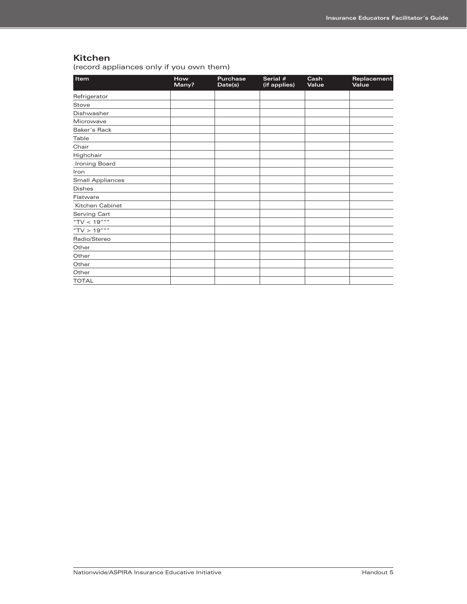#### **Kitchen**

(record appliances only if you own them)

| Item                    | How<br>Many? | <b>Purchase</b><br>Date(s) | Serial #<br>(if applies) | Cash<br>Value | Replacement<br>Value |
|-------------------------|--------------|----------------------------|--------------------------|---------------|----------------------|
| Refrigerator            |              |                            |                          |               |                      |
| Stove                   |              |                            |                          |               |                      |
| Dishwasher              |              |                            |                          |               |                      |
| Microwave               |              |                            |                          |               |                      |
| Baker's Rack            |              |                            |                          |               |                      |
| Table                   |              |                            |                          |               |                      |
| Chair                   |              |                            |                          |               |                      |
| Highchair               |              |                            |                          |               |                      |
| Ironing Board           |              |                            |                          |               |                      |
| Iron                    |              |                            |                          |               |                      |
| <b>Small Appliances</b> |              |                            |                          |               |                      |
| <b>Dishes</b>           |              |                            |                          |               |                      |
| Flatware                |              |                            |                          |               |                      |
| Kitchen Cabinet         |              |                            |                          |               |                      |
| Serving Cart            |              |                            |                          |               |                      |
| "TV < $19$ """          |              |                            |                          |               |                      |
| "TV > $19$ """          |              |                            |                          |               |                      |
| Radio/Stereo            |              |                            |                          |               |                      |
| Other                   |              |                            |                          |               |                      |
| Other                   |              |                            |                          |               |                      |
| Other                   |              |                            |                          |               |                      |
| Other                   |              |                            |                          |               |                      |
| <b>TOTAL</b>            |              |                            |                          |               |                      |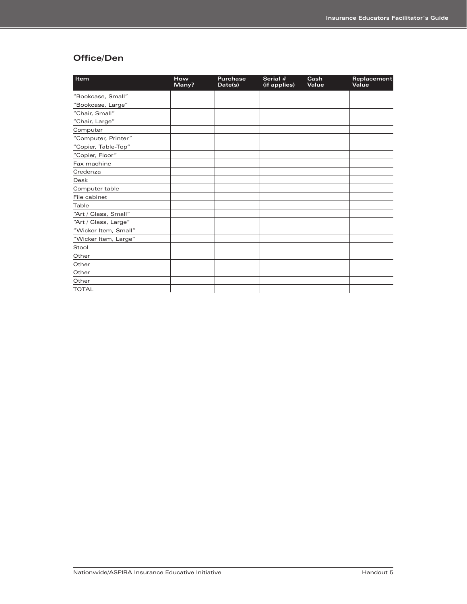### **Office/Den**

| Item                 | How<br>Many? | <b>Purchase</b><br>Date(s) | Serial #<br>(if applies) | Cash<br>Value | Replacement<br>Value |
|----------------------|--------------|----------------------------|--------------------------|---------------|----------------------|
| "Bookcase, Small"    |              |                            |                          |               |                      |
| "Bookcase, Large"    |              |                            |                          |               |                      |
| "Chair, Small"       |              |                            |                          |               |                      |
| "Chair, Large"       |              |                            |                          |               |                      |
| Computer             |              |                            |                          |               |                      |
| "Computer, Printer"  |              |                            |                          |               |                      |
| "Copier, Table-Top"  |              |                            |                          |               |                      |
| "Copier, Floor"      |              |                            |                          |               |                      |
| Fax machine          |              |                            |                          |               |                      |
| Credenza             |              |                            |                          |               |                      |
| <b>Desk</b>          |              |                            |                          |               |                      |
| Computer table       |              |                            |                          |               |                      |
| File cabinet         |              |                            |                          |               |                      |
| Table                |              |                            |                          |               |                      |
| "Art / Glass, Small" |              |                            |                          |               |                      |
| "Art / Glass, Large" |              |                            |                          |               |                      |
| "Wicker Item, Small" |              |                            |                          |               |                      |
| "Wicker Item, Large" |              |                            |                          |               |                      |
| Stool                |              |                            |                          |               |                      |
| Other                |              |                            |                          |               |                      |
| Other                |              |                            |                          |               |                      |
| Other                |              |                            |                          |               |                      |
| Other                |              |                            |                          |               |                      |
| <b>TOTAL</b>         |              |                            |                          |               |                      |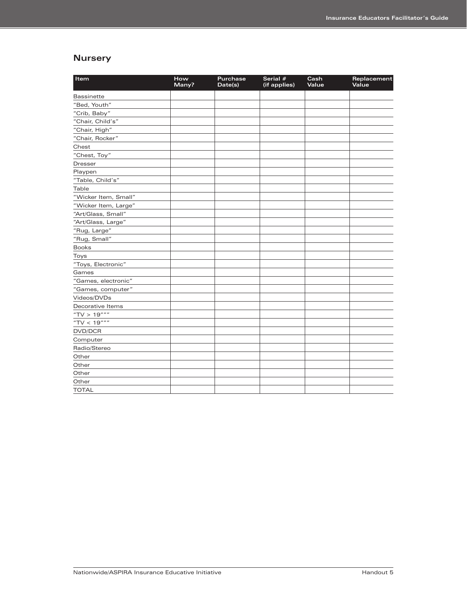### **Nursery**

| Item                 | How<br>Many? | <b>Purchase</b><br>Date(s) | Serial #<br>(if applies) | Cash<br>Value | Replacement<br>Value |
|----------------------|--------------|----------------------------|--------------------------|---------------|----------------------|
| <b>Bassinette</b>    |              |                            |                          |               |                      |
| "Bed, Youth"         |              |                            |                          |               |                      |
| "Crib, Baby"         |              |                            |                          |               |                      |
| "Chair, Child's"     |              |                            |                          |               |                      |
| "Chair, High"        |              |                            |                          |               |                      |
| "Chair, Rocker"      |              |                            |                          |               |                      |
| Chest                |              |                            |                          |               |                      |
| "Chest, Toy"         |              |                            |                          |               |                      |
| <b>Dresser</b>       |              |                            |                          |               |                      |
| Playpen              |              |                            |                          |               |                      |
| "Table, Child's"     |              |                            |                          |               |                      |
| Table                |              |                            |                          |               |                      |
| "Wicker Item, Small" |              |                            |                          |               |                      |
| "Wicker Item, Large" |              |                            |                          |               |                      |
| "Art/Glass, Small"   |              |                            |                          |               |                      |
| "Art/Glass, Large"   |              |                            |                          |               |                      |
| "Rug, Large"         |              |                            |                          |               |                      |
| "Rug, Small"         |              |                            |                          |               |                      |
| <b>Books</b>         |              |                            |                          |               |                      |
| Toys                 |              |                            |                          |               |                      |
| "Toys, Electronic"   |              |                            |                          |               |                      |
| Games                |              |                            |                          |               |                      |
| "Games, electronic"  |              |                            |                          |               |                      |
| "Games, computer"    |              |                            |                          |               |                      |
| Videos/DVDs          |              |                            |                          |               |                      |
| Decorative Items     |              |                            |                          |               |                      |
| "TV > $19$ ""        |              |                            |                          |               |                      |
| "TV < $19$ """       |              |                            |                          |               |                      |
| DVD/DCR              |              |                            |                          |               |                      |
| Computer             |              |                            |                          |               |                      |
| Radio/Stereo         |              |                            |                          |               |                      |
| Other                |              |                            |                          |               |                      |
| Other                |              |                            |                          |               |                      |
| Other                |              |                            |                          |               |                      |
| Other                |              |                            |                          |               |                      |
| <b>TOTAL</b>         |              |                            |                          |               |                      |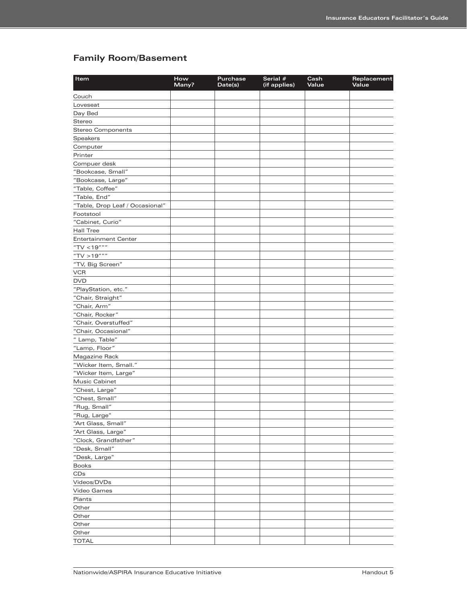## **Family Room/Basement**

| Item                            | How<br>Many? | Purchase<br>Date(s) | Serial #<br>(if applies) | Cash<br>Value | Replacement<br>Value |
|---------------------------------|--------------|---------------------|--------------------------|---------------|----------------------|
| Couch                           |              |                     |                          |               |                      |
| Loveseat                        |              |                     |                          |               |                      |
| Day Bed                         |              |                     |                          |               |                      |
| Stereo                          |              |                     |                          |               |                      |
| <b>Stereo Components</b>        |              |                     |                          |               |                      |
| <b>Speakers</b>                 |              |                     |                          |               |                      |
| Computer                        |              |                     |                          |               |                      |
| Printer                         |              |                     |                          |               |                      |
| Compuer desk                    |              |                     |                          |               |                      |
| "Bookcase, Small"               |              |                     |                          |               |                      |
| "Bookcase, Large"               |              |                     |                          |               |                      |
| "Table, Coffee"                 |              |                     |                          |               |                      |
| "Table, End"                    |              |                     |                          |               |                      |
| "Table, Drop Leaf / Occasional" |              |                     |                          |               |                      |
| Footstool                       |              |                     |                          |               |                      |
| "Cabinet, Curio"                |              |                     |                          |               |                      |
| <b>Hall Tree</b>                |              |                     |                          |               |                      |
| <b>Entertainment Center</b>     |              |                     |                          |               |                      |
| "TV <19"""                      |              |                     |                          |               |                      |
| "TV > $19$ """                  |              |                     |                          |               |                      |
| "TV, Big Screen"                |              |                     |                          |               |                      |
| <b>VCR</b>                      |              |                     |                          |               |                      |
| <b>DVD</b>                      |              |                     |                          |               |                      |
| "PlayStation, etc."             |              |                     |                          |               |                      |
| "Chair, Straight"               |              |                     |                          |               |                      |
| "Chair, Arm"                    |              |                     |                          |               |                      |
| "Chair, Rocker"                 |              |                     |                          |               |                      |
| "Chair, Overstuffed"            |              |                     |                          |               |                      |
| "Chair, Occasional"             |              |                     |                          |               |                      |
| " Lamp, Table"                  |              |                     |                          |               |                      |
| "Lamp, Floor"                   |              |                     |                          |               |                      |
| Magazine Rack                   |              |                     |                          |               |                      |
| "Wicker Item, Small."           |              |                     |                          |               |                      |
| "Wicker Item, Large"            |              |                     |                          |               |                      |
| Music Cabinet                   |              |                     |                          |               |                      |
|                                 |              |                     |                          |               |                      |
| "Chest, Large"                  |              |                     |                          |               |                      |
| "Chest, Small"<br>"Rug, Small"  |              |                     |                          |               |                      |
|                                 |              |                     |                          |               |                      |
| "Rug, Large"                    |              |                     |                          |               |                      |
| "Art Glass, Small"              |              |                     |                          |               |                      |
| "Art Glass, Large"              |              |                     |                          |               |                      |
| "Clock, Grandfather"            |              |                     |                          |               |                      |
| "Desk, Small"                   |              |                     |                          |               |                      |
| "Desk, Large"                   |              |                     |                          |               |                      |
| <b>Books</b>                    |              |                     |                          |               |                      |
| CDs                             |              |                     |                          |               |                      |
| Videos/DVDs                     |              |                     |                          |               |                      |
| Video Games                     |              |                     |                          |               |                      |
| Plants                          |              |                     |                          |               |                      |
| Other                           |              |                     |                          |               |                      |
| Other                           |              |                     |                          |               |                      |
| Other                           |              |                     |                          |               |                      |
| Other                           |              |                     |                          |               |                      |
| <b>TOTAL</b>                    |              |                     |                          |               |                      |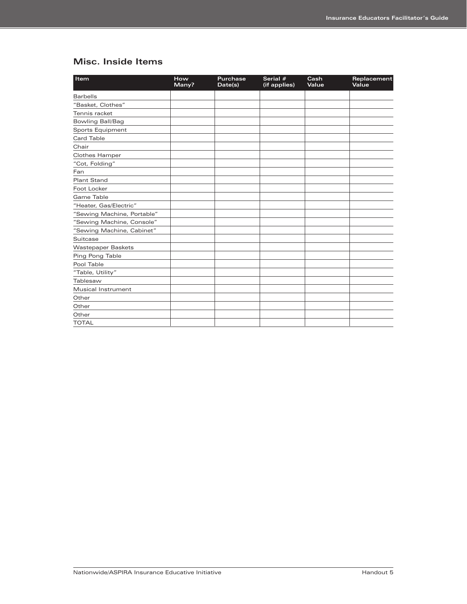## **Misc. Inside Items**

| Item                       | How<br>Many? | <b>Purchase</b><br>Date(s) | Serial #<br>(if applies) | Cash<br>Value | Replacement<br>Value |
|----------------------------|--------------|----------------------------|--------------------------|---------------|----------------------|
| <b>Barbells</b>            |              |                            |                          |               |                      |
| "Basket, Clothes"          |              |                            |                          |               |                      |
| Tennis racket              |              |                            |                          |               |                      |
| Bowling Ball/Bag           |              |                            |                          |               |                      |
| Sports Equipment           |              |                            |                          |               |                      |
| <b>Card Table</b>          |              |                            |                          |               |                      |
| Chair                      |              |                            |                          |               |                      |
| Clothes Hamper             |              |                            |                          |               |                      |
| "Cot, Folding"             |              |                            |                          |               |                      |
| Fan                        |              |                            |                          |               |                      |
| <b>Plant Stand</b>         |              |                            |                          |               |                      |
| Foot Locker                |              |                            |                          |               |                      |
| Game Table                 |              |                            |                          |               |                      |
| "Heater, Gas/Electric"     |              |                            |                          |               |                      |
| "Sewing Machine, Portable" |              |                            |                          |               |                      |
| "Sewing Machine, Console"  |              |                            |                          |               |                      |
| "Sewing Machine, Cabinet"  |              |                            |                          |               |                      |
| Suitcase                   |              |                            |                          |               |                      |
| <b>Wastepaper Baskets</b>  |              |                            |                          |               |                      |
| Ping Pong Table            |              |                            |                          |               |                      |
| Pool Table                 |              |                            |                          |               |                      |
| "Table, Utility"           |              |                            |                          |               |                      |
| Tablesaw                   |              |                            |                          |               |                      |
| Musical Instrument         |              |                            |                          |               |                      |
| Other                      |              |                            |                          |               |                      |
| Other                      |              |                            |                          |               |                      |
| Other                      |              |                            |                          |               |                      |
| <b>TOTAL</b>               |              |                            |                          |               |                      |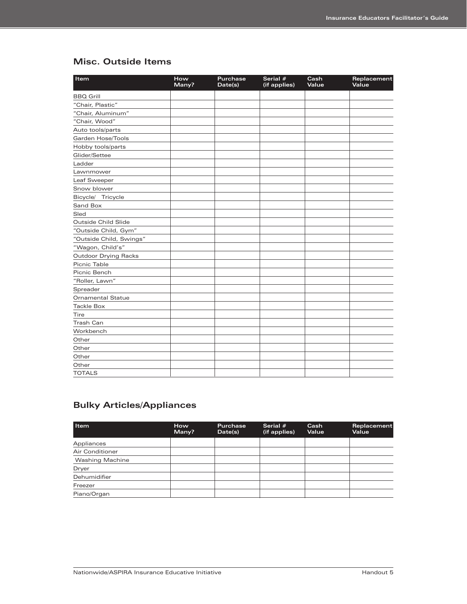## **Misc. Outside Items**

| Item                        | How<br>Many? | <b>Purchase</b><br>Date(s) | Serial #<br>(if applies) | Cash<br>Value | Replacement<br>Value |
|-----------------------------|--------------|----------------------------|--------------------------|---------------|----------------------|
| <b>BBQ Grill</b>            |              |                            |                          |               |                      |
| "Chair, Plastic"            |              |                            |                          |               |                      |
| "Chair, Aluminum"           |              |                            |                          |               |                      |
| "Chair, Wood"               |              |                            |                          |               |                      |
| Auto tools/parts            |              |                            |                          |               |                      |
| Garden Hose/Tools           |              |                            |                          |               |                      |
| Hobby tools/parts           |              |                            |                          |               |                      |
| Glider/Settee               |              |                            |                          |               |                      |
| Ladder                      |              |                            |                          |               |                      |
| Lawnmower                   |              |                            |                          |               |                      |
| Leaf Sweeper                |              |                            |                          |               |                      |
| Snow blower                 |              |                            |                          |               |                      |
| Bicycle/ Tricycle           |              |                            |                          |               |                      |
| Sand Box                    |              |                            |                          |               |                      |
| Sled                        |              |                            |                          |               |                      |
| Outside Child Slide         |              |                            |                          |               |                      |
| "Outside Child, Gym"        |              |                            |                          |               |                      |
| "Outside Child, Swings"     |              |                            |                          |               |                      |
| "Wagon, Child's"            |              |                            |                          |               |                      |
| <b>Outdoor Drying Racks</b> |              |                            |                          |               |                      |
| Picnic Table                |              |                            |                          |               |                      |
| Picnic Bench                |              |                            |                          |               |                      |
| "Roller, Lawn"              |              |                            |                          |               |                      |
| Spreader                    |              |                            |                          |               |                      |
| <b>Ornamental Statue</b>    |              |                            |                          |               |                      |
| <b>Tackle Box</b>           |              |                            |                          |               |                      |
| Tire                        |              |                            |                          |               |                      |
| <b>Trash Can</b>            |              |                            |                          |               |                      |
| Workbench                   |              |                            |                          |               |                      |
| Other                       |              |                            |                          |               |                      |
| Other                       |              |                            |                          |               |                      |
| Other                       |              |                            |                          |               |                      |
| Other                       |              |                            |                          |               |                      |
| <b>TOTALS</b>               |              |                            |                          |               |                      |

## **Bulky Articles/Appliances**

| Item                   | <b>How</b><br>Many? | <b>Purchase</b><br>Date(s) | Serial $#$<br>(if applies) | Cash<br>Value | Replacement<br>Value |
|------------------------|---------------------|----------------------------|----------------------------|---------------|----------------------|
| Appliances             |                     |                            |                            |               |                      |
| Air Conditioner        |                     |                            |                            |               |                      |
| <b>Washing Machine</b> |                     |                            |                            |               |                      |
| Dryer                  |                     |                            |                            |               |                      |
| Dehumidifier           |                     |                            |                            |               |                      |
| Freezer                |                     |                            |                            |               |                      |
| Piano/Organ            |                     |                            |                            |               |                      |